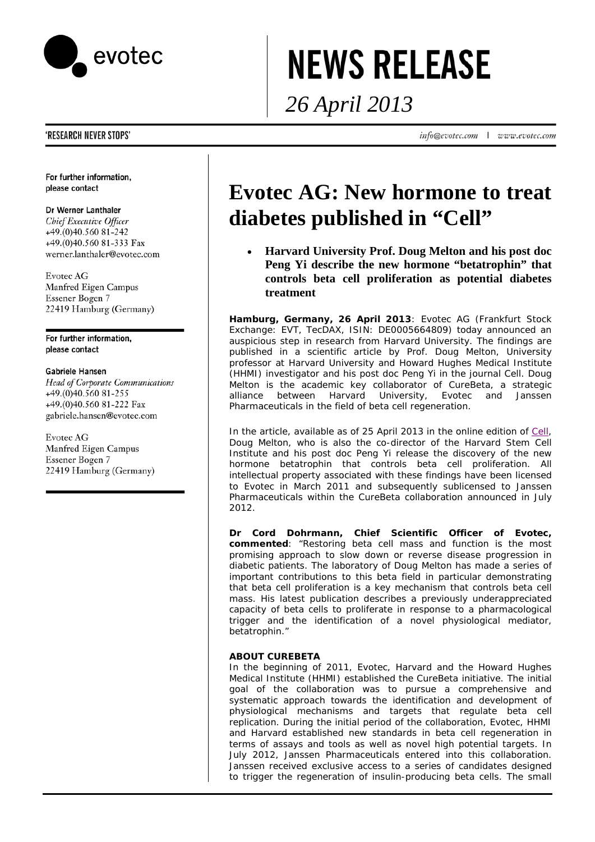

# **NEWS RELEASE**

*26 April 2013*

info@evotec.com | www.evotec.com

### 'RESEARCH NEVER STOPS'

For further information, please contact

### Dr Werner Lanthaler

**Chief Executive Officer** +49.(0)40.560 81-242 +49.(0)40.560 81-333 Fax werner.lanthaler@evotec.com

Evotec AG Manfred Eigen Campus Essener Bogen 7 22419 Hamburg (Germany)

For further information. please contact

### **Gabriele Hansen**

**Head of Corporate Communications**  $+49(0)40.56081-255$ +49.(0)40.560 81-222 Fax gabriele.hansen@evotec.com

Evotec AG Manfred Eigen Campus Essener Bogen 7 22419 Hamburg (Germany)

## **Evotec AG: New hormone to treat diabetes published in "Cell"**

• **Harvard University Prof. Doug Melton and his post doc Peng Yi describe the new hormone "betatrophin" that controls beta cell proliferation as potential diabetes treatment**

**Hamburg, Germany, 26 April 2013**: Evotec AG (Frankfurt Stock Exchange: EVT, TecDAX, ISIN: DE0005664809) today announced an auspicious step in research from Harvard University. The findings are published in a scientific article by Prof. Doug Melton, University professor at Harvard University and Howard Hughes Medical Institute (HHMI) investigator and his post doc Peng Yi in the journal *Cell*. Doug Melton is the academic key collaborator of Cure*Beta*, a strategic alliance between Harvard University, Evotec and Janssen Pharmaceuticals in the field of beta cell regeneration.

In the article, available as of 25 April 2013 in the online edition of *[Cell](http://www.cell.com/abstract/S0092-8674(13)00449-2)*, Doug Melton, who is also the co-director of the Harvard Stem Cell Institute and his post doc Peng Yi release the discovery of the new hormone betatrophin that controls beta cell proliferation. All intellectual property associated with these findings have been licensed to Evotec in March 2011 and subsequently sublicensed to Janssen Pharmaceuticals within the Cure*Beta* collaboration announced in July 2012.

**Dr Cord Dohrmann, Chief Scientific Officer of Evotec, commented**: "Restoring beta cell mass and function is the most promising approach to slow down or reverse disease progression in diabetic patients. The laboratory of Doug Melton has made a series of important contributions to this beta field in particular demonstrating that beta cell proliferation is a key mechanism that controls beta cell mass. His latest publication describes a previously underappreciated capacity of beta cells to proliferate in response to a pharmacological trigger and the identification of a novel physiological mediator, betatrophin."

### **ABOUT CURE***BETA*

In the beginning of 2011, Evotec, Harvard and the Howard Hughes Medical Institute (HHMI) established the Cure*Beta* initiative. The initial goal of the collaboration was to pursue a comprehensive and systematic approach towards the identification and development of physiological mechanisms and targets that regulate beta cell replication. During the initial period of the collaboration, Evotec, HHMI and Harvard established new standards in beta cell regeneration in terms of assays and tools as well as novel high potential targets. In July 2012, Janssen Pharmaceuticals entered into this collaboration. Janssen received exclusive access to a series of candidates designed to trigger the regeneration of insulin-producing beta cells. The small